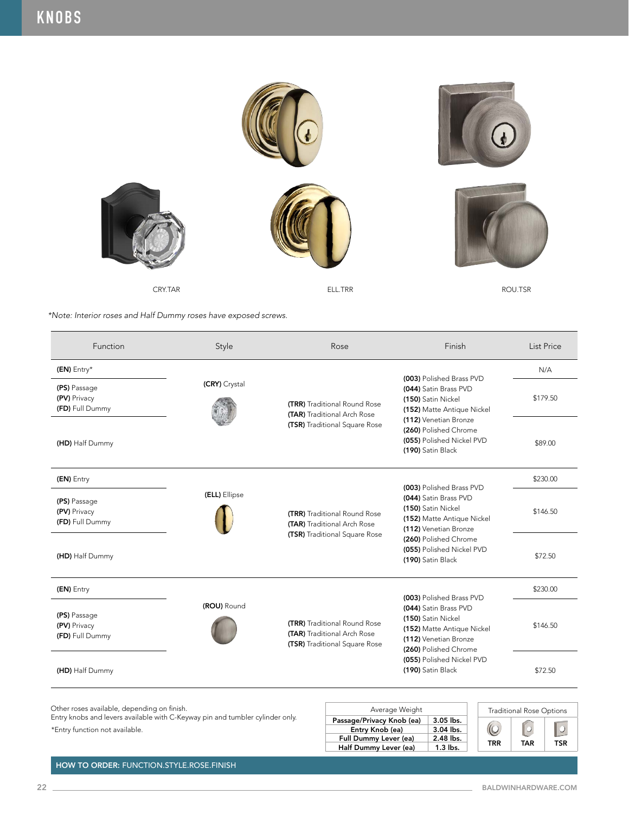

| Function                                        | Style         | Rose                                                                                                | Finish                                                                                                                                                                                                    | <b>List Price</b> |
|-------------------------------------------------|---------------|-----------------------------------------------------------------------------------------------------|-----------------------------------------------------------------------------------------------------------------------------------------------------------------------------------------------------------|-------------------|
| (EN) Entry*                                     |               |                                                                                                     |                                                                                                                                                                                                           | N/A               |
| (PS) Passage<br>(PV) Privacy<br>(FD) Full Dummy | (CRY) Crystal | <b>(TRR)</b> Traditional Round Rose<br>(TAR) Traditional Arch Rose<br>(TSR) Traditional Square Rose | (003) Polished Brass PVD<br>(044) Satin Brass PVD<br>(150) Satin Nickel<br>(152) Matte Antique Nickel<br>(112) Venetian Bronze<br>(260) Polished Chrome<br>(055) Polished Nickel PVD<br>(190) Satin Black | \$179.50          |
| (HD) Half Dummy                                 |               |                                                                                                     |                                                                                                                                                                                                           | \$89.00           |
| (EN) Entry                                      |               |                                                                                                     | (003) Polished Brass PVD                                                                                                                                                                                  | \$230.00          |
| (PS) Passage<br>(PV) Privacy<br>(FD) Full Dummy | (ELL) Ellipse | <b>(TRR)</b> Traditional Round Rose<br>(TAR) Traditional Arch Rose<br>(TSR) Traditional Square Rose | (044) Satin Brass PVD<br>(150) Satin Nickel<br>(152) Matte Antique Nickel<br>(112) Venetian Bronze<br>(260) Polished Chrome<br>(055) Polished Nickel PVD<br>(190) Satin Black                             | \$146.50          |
| (HD) Half Dummy                                 |               |                                                                                                     |                                                                                                                                                                                                           | \$72.50           |
| (EN) Entry                                      |               |                                                                                                     | (003) Polished Brass PVD                                                                                                                                                                                  | \$230.00          |
| (PS) Passage<br>(PV) Privacy<br>(FD) Full Dummy | (ROU) Round   | <b>(TRR)</b> Traditional Round Rose<br>(TAR) Traditional Arch Rose<br>(TSR) Traditional Square Rose | (044) Satin Brass PVD<br>(150) Satin Nickel<br>(152) Matte Antique Nickel<br>(112) Venetian Bronze                                                                                                        | \$146.50          |
| (HD) Half Dummy                                 |               |                                                                                                     | (260) Polished Chrome<br>(055) Polished Nickel PVD<br>(190) Satin Black                                                                                                                                   | \$72.50           |

Other roses available, depending on finish.

Entry knobs and levers available with C-Keyway pin and tumbler cylinder only.

\*Entry function not available.

| Average Weight                               |                          | <b>Traditional Rose Options</b> |     |     |
|----------------------------------------------|--------------------------|---------------------------------|-----|-----|
| Passage/Privacy Knob (ea)<br>Entry Knob (ea) | $3.05$ lbs.<br>3.04 lbs. |                                 |     |     |
| Full Dummy Lever (ea)                        | 2.48 lbs.                |                                 |     |     |
| Half Dummy Lever (ea)                        | $1.3$ lbs.               | TRR                             | TAR | TSR |

HOW TO ORDER: FUNCTION.STYLE.ROSE.FINISH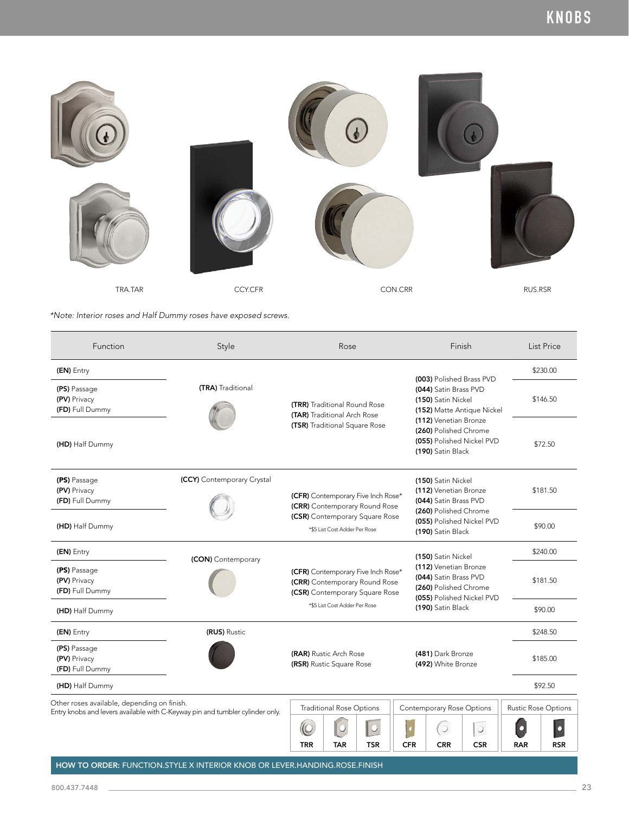

| Function                                                                                                                     | Style                      | Rose                                                                                                  | Finish                                                                                               | List Price                                              |
|------------------------------------------------------------------------------------------------------------------------------|----------------------------|-------------------------------------------------------------------------------------------------------|------------------------------------------------------------------------------------------------------|---------------------------------------------------------|
| (EN) Entry                                                                                                                   |                            |                                                                                                       | (003) Polished Brass PVD                                                                             | \$230.00                                                |
| (PS) Passage<br>(PV) Privacy<br>(FD) Full Dummy                                                                              | (TRA) Traditional          | <b>(TRR)</b> Traditional Round Rose<br>(TAR) Traditional Arch Rose                                    | (044) Satin Brass PVD<br>(150) Satin Nickel<br>(152) Matte Antique Nickel                            | \$146.50                                                |
| (HD) Half Dummy                                                                                                              |                            | (TSR) Traditional Square Rose                                                                         | (112) Venetian Bronze<br>(260) Polished Chrome<br>(055) Polished Nickel PVD<br>(190) Satin Black     | \$72.50                                                 |
| (PS) Passage<br>(PV) Privacy<br>(FD) Full Dummy                                                                              | (CCY) Contemporary Crystal | (CFR) Contemporary Five Inch Rose*<br>(CRR) Contemporary Round Rose                                   | (150) Satin Nickel<br>(112) Venetian Bronze<br>(044) Satin Brass PVD                                 | \$181.50                                                |
| (HD) Half Dummy                                                                                                              |                            | (CSR) Contemporary Square Rose<br>*\$5 List Cost Adder Per Rose                                       | (260) Polished Chrome<br>(055) Polished Nickel PVD<br>(190) Satin Black                              | \$90.00                                                 |
| (EN) Entry                                                                                                                   | (CON) Contemporary         |                                                                                                       | (150) Satin Nickel                                                                                   | \$240.00                                                |
| (PS) Passage<br>(PV) Privacy<br>(FD) Full Dummy                                                                              |                            | (CFR) Contemporary Five Inch Rose*<br>(CRR) Contemporary Round Rose<br>(CSR) Contemporary Square Rose | (112) Venetian Bronze<br>(044) Satin Brass PVD<br>(260) Polished Chrome<br>(055) Polished Nickel PVD | \$181.50                                                |
| (HD) Half Dummy                                                                                                              |                            | *\$5 List Cost Adder Per Rose                                                                         | (190) Satin Black                                                                                    | \$90.00                                                 |
| (EN) Entry                                                                                                                   | (RUS) Rustic               |                                                                                                       |                                                                                                      | \$248.50                                                |
| (PS) Passage<br>(PV) Privacy<br>(FD) Full Dummy                                                                              |                            | (RAR) Rustic Arch Rose<br>(RSR) Rustic Square Rose                                                    | (481) Dark Bronze<br>(492) White Bronze                                                              | \$185.00                                                |
| (HD) Half Dummy                                                                                                              |                            |                                                                                                       |                                                                                                      | \$92.50                                                 |
| Other roses available, depending on finish.<br>Entry knobs and levers available with C-Keyway pin and tumbler cylinder only. |                            | <b>Traditional Rose Options</b>                                                                       | Contemporary Rose Options                                                                            | <b>Rustic Rose Options</b>                              |
|                                                                                                                              |                            | <b>TRR</b><br><b>TSR</b><br><b>TAR</b>                                                                | $\circ$<br>$\bigcirc$<br><b>CFR</b><br><b>CSR</b><br><b>CRR</b>                                      | $\overline{O}$<br>$\bullet$<br><b>RAR</b><br><b>RSR</b> |

HOW TO ORDER: FUNCTION.STYLE X INTERIOR KNOB OR LEVER.HANDING.ROSE.FINISH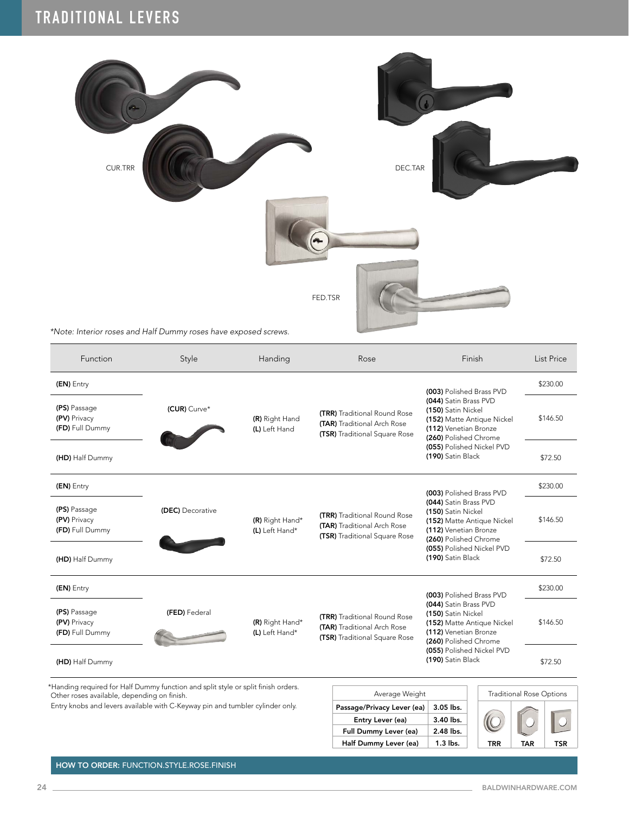

| Function                                        | Style            | Handing                           | Rose                                                                                                | Finish                                                                                                                                                                        | List Price |
|-------------------------------------------------|------------------|-----------------------------------|-----------------------------------------------------------------------------------------------------|-------------------------------------------------------------------------------------------------------------------------------------------------------------------------------|------------|
| (EN) Entry                                      |                  |                                   |                                                                                                     | (003) Polished Brass PVD                                                                                                                                                      | \$230.00   |
| (PS) Passage<br>(PV) Privacy<br>(FD) Full Dummy | (CUR) Curve*     | (R) Right Hand<br>(L) Left Hand   | (TRR) Traditional Round Rose<br><b>(TAR)</b> Traditional Arch Rose<br>(TSR) Traditional Square Rose | (044) Satin Brass PVD<br>(150) Satin Nickel<br>(152) Matte Antique Nickel<br>(112) Venetian Bronze<br>(260) Polished Chrome<br>(055) Polished Nickel PVD<br>(190) Satin Black | \$146.50   |
| (HD) Half Dummy                                 |                  |                                   |                                                                                                     |                                                                                                                                                                               | \$72.50    |
| (EN) Entry                                      |                  |                                   |                                                                                                     | (003) Polished Brass PVD                                                                                                                                                      | \$230.00   |
| (PS) Passage<br>(PV) Privacy<br>(FD) Full Dummy | (DEC) Decorative | (R) Right Hand*<br>(L) Left Hand* | <b>(TRR)</b> Traditional Round Rose<br>(TAR) Traditional Arch Rose<br>(TSR) Traditional Square Rose | (044) Satin Brass PVD<br>(150) Satin Nickel<br>(152) Matte Antique Nickel<br>(112) Venetian Bronze<br>(260) Polished Chrome<br>(055) Polished Nickel PVD<br>(190) Satin Black | \$146.50   |
| (HD) Half Dummy                                 |                  |                                   |                                                                                                     |                                                                                                                                                                               | \$72.50    |
| (EN) Entry                                      |                  |                                   |                                                                                                     | (003) Polished Brass PVD                                                                                                                                                      | \$230.00   |
| (PS) Passage<br>(PV) Privacy<br>(FD) Full Dummy | (FED) Federal    | (R) Right Hand*<br>(L) Left Hand* | (TRR) Traditional Round Rose<br>(TAR) Traditional Arch Rose<br>(TSR) Traditional Square Rose        | (044) Satin Brass PVD<br>(150) Satin Nickel<br>(152) Matte Antique Nickel<br>(112) Venetian Bronze<br>(260) Polished Chrome<br>(055) Polished Nickel PVD<br>(190) Satin Black | \$146.50   |
| (HD) Half Dummy                                 |                  |                                   |                                                                                                     |                                                                                                                                                                               | \$72.50    |

\*Handing required for Half Dummy function and split style or split finish orders. Other roses available, depending on finish.

Entry knobs and levers available with C-Keyway pin and tumbler cylinder only.

| Average Weight             | Traditio   |     |
|----------------------------|------------|-----|
| Passage/Privacy Lever (ea) | 3.05 lbs.  |     |
| Entry Lever (ea)           | 3.40 lbs.  |     |
| Full Dummy Lever (ea)      | 2.48 lbs.  |     |
| Half Dummy Lever (ea)      | $1.3$ lbs. | TRR |



HOW TO ORDER: FUNCTION.STYLE.ROSE.FINISH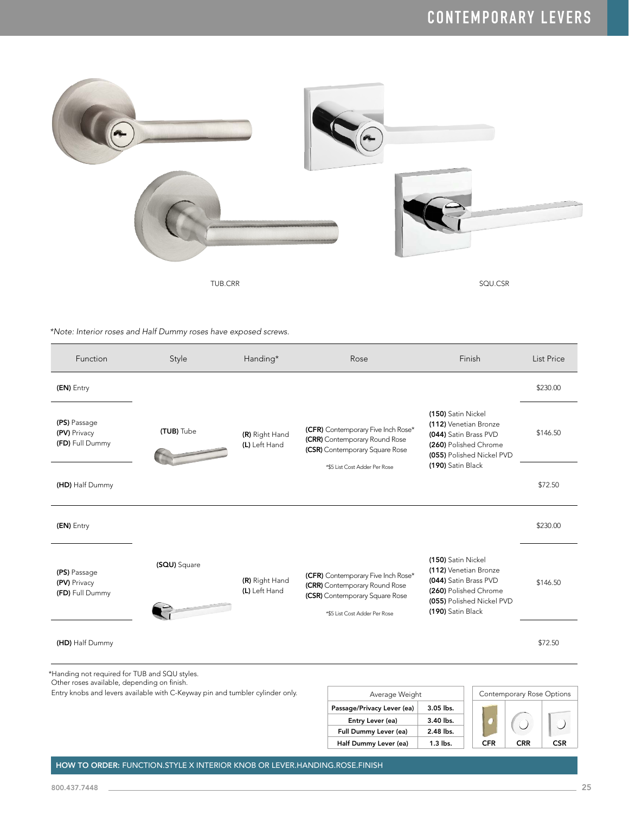

| Function                                                                                     | Style                                                                         | Handing*                        | Rose                                                                                                                                   | Finish                                                                                                                                          | List Price                |
|----------------------------------------------------------------------------------------------|-------------------------------------------------------------------------------|---------------------------------|----------------------------------------------------------------------------------------------------------------------------------------|-------------------------------------------------------------------------------------------------------------------------------------------------|---------------------------|
| (EN) Entry                                                                                   |                                                                               |                                 |                                                                                                                                        |                                                                                                                                                 | \$230.00                  |
| (PS) Passage<br>(PV) Privacy<br>(FD) Full Dummy                                              | (TUB) Tube                                                                    | (R) Right Hand<br>(L) Left Hand | (CFR) Contemporary Five Inch Rose*<br>(CRR) Contemporary Round Rose<br>(CSR) Contemporary Square Rose                                  | (150) Satin Nickel<br>(112) Venetian Bronze<br>(044) Satin Brass PVD<br>(260) Polished Chrome<br>(055) Polished Nickel PVD                      | \$146.50                  |
| (HD) Half Dummy                                                                              |                                                                               |                                 | *\$5 List Cost Adder Per Rose                                                                                                          | (190) Satin Black                                                                                                                               | \$72.50                   |
| (EN) Entry                                                                                   |                                                                               |                                 |                                                                                                                                        |                                                                                                                                                 | \$230.00                  |
| (PS) Passage<br>(PV) Privacy<br>(FD) Full Dummy                                              | (SQU) Square                                                                  | (R) Right Hand<br>(L) Left Hand | (CFR) Contemporary Five Inch Rose*<br>(CRR) Contemporary Round Rose<br>(CSR) Contemporary Square Rose<br>*\$5 List Cost Adder Per Rose | (150) Satin Nickel<br>(112) Venetian Bronze<br>(044) Satin Brass PVD<br>(260) Polished Chrome<br>(055) Polished Nickel PVD<br>(190) Satin Black | \$146.50                  |
| (HD) Half Dummy                                                                              |                                                                               |                                 |                                                                                                                                        |                                                                                                                                                 | \$72.50                   |
| *Handing not required for TUB and SQU styles.<br>Other roses available, depending on finish. |                                                                               |                                 |                                                                                                                                        |                                                                                                                                                 |                           |
|                                                                                              | Entry knobs and levers available with C-Keyway pin and tumbler cylinder only. |                                 | Average Weight                                                                                                                         |                                                                                                                                                 | Contemporary Rose Options |
|                                                                                              |                                                                               |                                 | Passage/Privacy Lever (ea)                                                                                                             | 3.05 lbs.                                                                                                                                       |                           |
|                                                                                              |                                                                               |                                 | Entry Lever (ea)<br>Full Dummy Lever (ea)                                                                                              | 3.40 lbs.<br>2.48 lbs.                                                                                                                          |                           |
|                                                                                              |                                                                               |                                 | Half Dummy Lever (ea)                                                                                                                  | 1.3 lbs.<br><b>CFR</b>                                                                                                                          | <b>CRR</b><br><b>CSR</b>  |

HOW TO ORDER: FUNCTION.STYLE X INTERIOR KNOB OR LEVER.HANDING.ROSE.FINISH